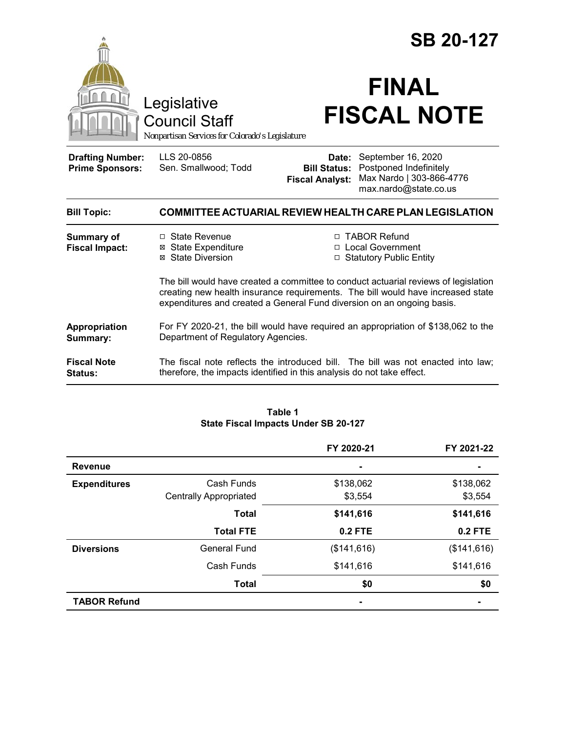|                                                   |                                                                                                                                                                                                                                                  |                                                        | <b>SB 20-127</b><br><b>FINAL</b>                                                                  |
|---------------------------------------------------|--------------------------------------------------------------------------------------------------------------------------------------------------------------------------------------------------------------------------------------------------|--------------------------------------------------------|---------------------------------------------------------------------------------------------------|
|                                                   | Legislative<br><b>Council Staff</b><br>Nonpartisan Services for Colorado's Legislature                                                                                                                                                           |                                                        | <b>FISCAL NOTE</b>                                                                                |
| <b>Drafting Number:</b><br><b>Prime Sponsors:</b> | LLS 20-0856<br>Sen. Smallwood; Todd                                                                                                                                                                                                              | Date:<br><b>Bill Status:</b><br><b>Fiscal Analyst:</b> | September 16, 2020<br>Postponed Indefinitely<br>Max Nardo   303-866-4776<br>max.nardo@state.co.us |
| <b>Bill Topic:</b>                                |                                                                                                                                                                                                                                                  |                                                        | COMMITTEE ACTUARIAL REVIEW HEALTH CARE PLAN LEGISLATION                                           |
| <b>Summary of</b><br><b>Fiscal Impact:</b>        | □ State Revenue<br><b>⊠</b> State Expenditure<br>⊠ State Diversion                                                                                                                                                                               | $\Box$                                                 | □ TABOR Refund<br><b>Local Government</b><br><b>Statutory Public Entity</b>                       |
|                                                   | The bill would have created a committee to conduct actuarial reviews of legislation<br>creating new health insurance requirements. The bill would have increased state<br>expenditures and created a General Fund diversion on an ongoing basis. |                                                        |                                                                                                   |
| Appropriation<br>Summary:                         | For FY 2020-21, the bill would have required an appropriation of \$138,062 to the<br>Department of Regulatory Agencies.                                                                                                                          |                                                        |                                                                                                   |
| <b>Fiscal Note</b><br><b>Status:</b>              | The fiscal note reflects the introduced bill. The bill was not enacted into law;<br>therefore, the impacts identified in this analysis do not take effect.                                                                                       |                                                        |                                                                                                   |

| Table 1                              |  |  |
|--------------------------------------|--|--|
| State Fiscal Impacts Under SB 20-127 |  |  |

|                     |                               | FY 2020-21               | FY 2021-22     |
|---------------------|-------------------------------|--------------------------|----------------|
| <b>Revenue</b>      |                               | $\overline{\phantom{a}}$ |                |
| <b>Expenditures</b> | Cash Funds                    | \$138,062                | \$138,062      |
|                     | <b>Centrally Appropriated</b> | \$3,554                  | \$3,554        |
|                     | <b>Total</b>                  | \$141,616                | \$141,616      |
|                     | <b>Total FTE</b>              | 0.2 FTE                  | <b>0.2 FTE</b> |
| <b>Diversions</b>   | <b>General Fund</b>           | (\$141,616)              | (\$141,616)    |
|                     | Cash Funds                    | \$141,616                | \$141,616      |
|                     | <b>Total</b>                  | \$0                      | \$0            |
| <b>TABOR Refund</b> |                               | $\blacksquare$           |                |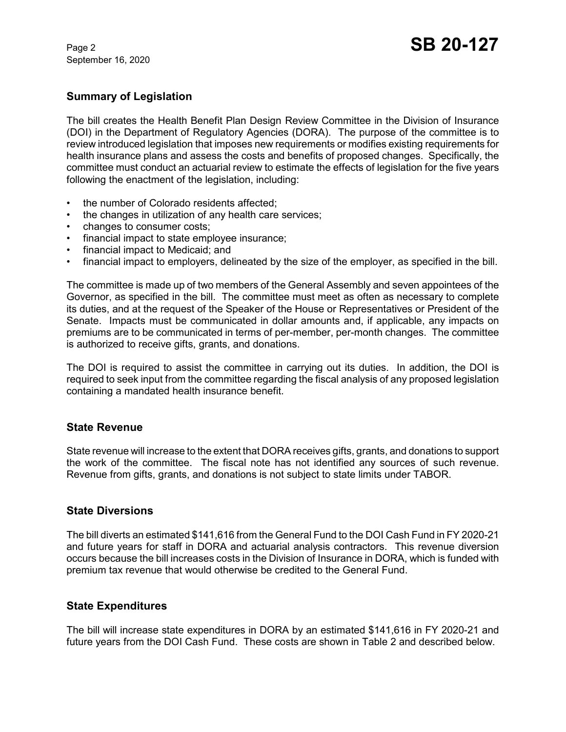September 16, 2020

# **Summary of Legislation**

The bill creates the Health Benefit Plan Design Review Committee in the Division of Insurance (DOI) in the Department of Regulatory Agencies (DORA). The purpose of the committee is to review introduced legislation that imposes new requirements or modifies existing requirements for health insurance plans and assess the costs and benefits of proposed changes. Specifically, the committee must conduct an actuarial review to estimate the effects of legislation for the five years following the enactment of the legislation, including:

- the number of Colorado residents affected:
- the changes in utilization of any health care services;
- changes to consumer costs;
- financial impact to state employee insurance;
- financial impact to Medicaid; and
- financial impact to employers, delineated by the size of the employer, as specified in the bill.

The committee is made up of two members of the General Assembly and seven appointees of the Governor, as specified in the bill. The committee must meet as often as necessary to complete its duties, and at the request of the Speaker of the House or Representatives or President of the Senate. Impacts must be communicated in dollar amounts and, if applicable, any impacts on premiums are to be communicated in terms of per-member, per-month changes. The committee is authorized to receive gifts, grants, and donations.

The DOI is required to assist the committee in carrying out its duties. In addition, the DOI is required to seek input from the committee regarding the fiscal analysis of any proposed legislation containing a mandated health insurance benefit.

## **State Revenue**

State revenue will increase to the extent that DORA receives gifts, grants, and donations to support the work of the committee. The fiscal note has not identified any sources of such revenue. Revenue from gifts, grants, and donations is not subject to state limits under TABOR.

## **State Diversions**

The bill diverts an estimated \$141,616 from the General Fund to the DOI Cash Fund in FY 2020-21 and future years for staff in DORA and actuarial analysis contractors. This revenue diversion occurs because the bill increases costs in the Division of Insurance in DORA, which is funded with premium tax revenue that would otherwise be credited to the General Fund.

## **State Expenditures**

The bill will increase state expenditures in DORA by an estimated \$141,616 in FY 2020-21 and future years from the DOI Cash Fund. These costs are shown in Table 2 and described below.